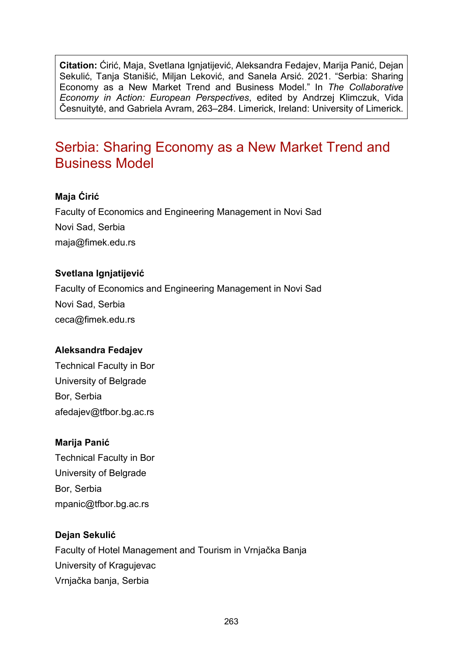**Citation:** Ćirić, Maja, Svetlana Ignjatijević, Aleksandra Fedajev, Marija Panić, Dejan Sekulić, Tanja Stanišić, Miljan Leković, and Sanela Arsić. 2021. "Serbia: Sharing Economy as a New Market Trend and Business Model." In *The Collaborative Economy in Action: European Perspectives*, edited by Andrzej Klimczuk, Vida Česnuitytė, and Gabriela Avram, 263–284. Limerick, Ireland: University of Limerick.

# Serbia: Sharing Economy as a New Market Trend and Business Model

### **Maja Ćirić**

Faculty of Economics and Engineering Management in Novi Sad Novi Sad, Serbia [maja@fimek.edu.rs](mailto:maja@fimek.edu.rs)

#### **Svetlana Ignjatijević**

Faculty of Economics and Engineering Management in Novi Sad Novi Sad, Serbia [ceca@fimek.edu.rs](mailto:ceca@fimek.edu.rs)

### **Aleksandra Fedajev**

Technical Faculty in Bor University of Belgrade Bor, Serbia [afedajev@tfbor.bg.ac.rs](mailto:afedajev@tfbor.bg.ac.rs)

### **Marija Panić**

Technical Faculty in Bor University of Belgrade Bor, Serbia [mpanic@tfbor.bg.ac.rs](mailto:mpanic@tfbor.bg.ac.rs)

### **Dejan Sekulić**

Faculty of Hotel Management and Tourism in Vrnjačka Banja University of Kragujevac Vrnjačka banja, Serbia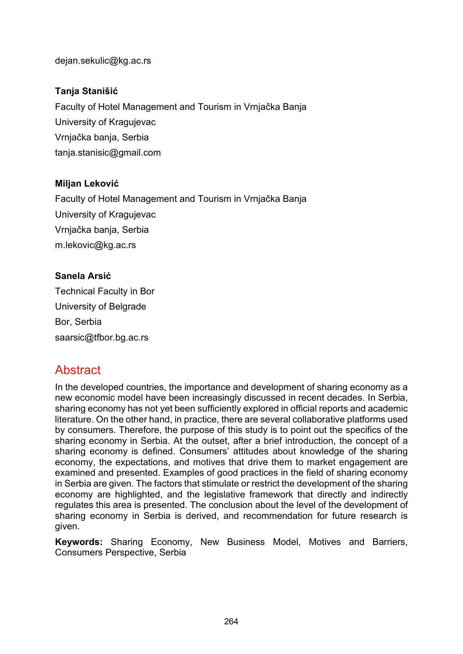[dejan.sekulic@kg.ac.rs](mailto:dejan.sekulic@kg.ac.rs)

### **Tanja Stanišić**

Faculty of Hotel Management and Tourism in Vrnjačka Banja University of Kragujevac Vrnjačka banja, Serbia [tanja.stanisic@gmail.com](mailto:tanja.stanisic@gmail.com)

### **Miljan Leković**

Faculty of Hotel Management and Tourism in Vrnjačka Banja University of Kragujevac Vrnjačka banja, Serbia [m.lekovic@kg.ac.rs](mailto:m.lekovic@kg.ac.rs)

### **Sanela Arsić**

Technical Faculty in Bor University of Belgrade Bor, Serbia [saarsic@tfbor.bg.ac.rs](mailto:saarsic@tfbor.bg.ac.rs)

# **Abstract**

In the developed countries, the importance and development of sharing economy as a new economic model have been increasingly discussed in recent decades. In Serbia, sharing economy has not yet been sufficiently explored in official reports and academic literature. On the other hand, in practice, there are several collaborative platforms used by consumers. Therefore, the purpose of this study is to point out the specifics of the sharing economy in Serbia. At the outset, after a brief introduction, the concept of a sharing economy is defined. Consumers' attitudes about knowledge of the sharing economy, the expectations, and motives that drive them to market engagement are examined and presented. Examples of good practices in the field of sharing economy in Serbia are given. The factors that stimulate or restrict the development of the sharing economy are highlighted, and the legislative framework that directly and indirectly regulates this area is presented. The conclusion about the level of the development of sharing economy in Serbia is derived, and recommendation for future research is given.

**Keywords:** Sharing Economy, New Business Model, Motives and Barriers, Consumers Perspective, Serbia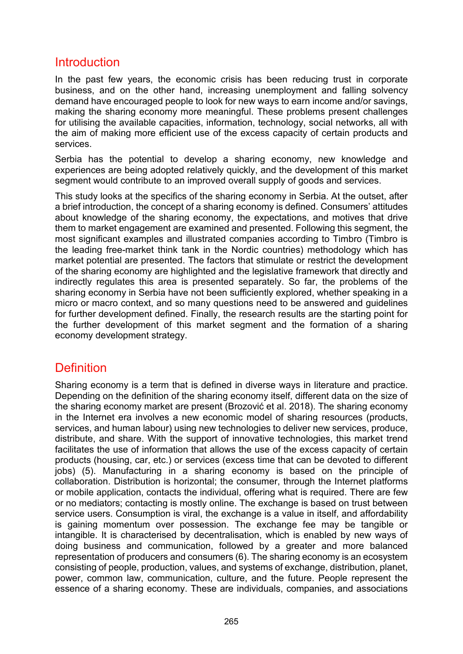## Introduction

In the past few years, the economic crisis has been reducing trust in corporate business, and on the other hand, increasing unemployment and falling solvency demand have encouraged people to look for new ways to earn income and/or savings, making the sharing economy more meaningful. These problems present challenges for utilising the available capacities, information, technology, social networks, all with the aim of making more efficient use of the excess capacity of certain products and services.

Serbia has the potential to develop a sharing economy, new knowledge and experiences are being adopted relatively quickly, and the development of this market segment would contribute to an improved overall supply of goods and services.

This study looks at the specifics of the sharing economy in Serbia. At the outset, after a brief introduction, the concept of a sharing economy is defined. Consumers' attitudes about knowledge of the sharing economy, the expectations, and motives that drive them to market engagement are examined and presented. Following this segment, the most significant examples and illustrated companies according to Timbro (Timbro is the leading free-market think tank in the Nordic countries) methodology which has market potential are presented. The factors that stimulate or restrict the development of the sharing economy are highlighted and the legislative framework that directly and indirectly regulates this area is presented separately. So far, the problems of the sharing economy in Serbia have not been sufficiently explored, whether speaking in a micro or macro context, and so many questions need to be answered and guidelines for further development defined. Finally, the research results are the starting point for the further development of this market segment and the formation of a sharing economy development strategy.

## **Definition**

Sharing economy is a term that is defined in diverse ways in literature and practice. Depending on the definition of the sharing economy itself, different data on the size of the sharing economy market are present (Brozović et al. 2018). The sharing economy in the Internet era involves a new economic model of sharing resources (products, services, and human labour) using new technologies to deliver new services, produce, distribute, and share. With the support of innovative technologies, this market trend facilitates the use of information that allows the use of the excess capacity of certain products (housing, car, etc.) or services (excess time that can be devoted to different jobs) (5). Manufacturing in a sharing economy is based on the principle of collaboration. Distribution is horizontal; the consumer, through the Internet platforms or mobile application, contacts the individual, offering what is required. There are few or no mediators; contacting is mostly online. The exchange is based on trust between service users. Consumption is viral, the exchange is a value in itself, and affordability is gaining momentum over possession. The exchange fee may be tangible or intangible. It is characterised by decentralisation, which is enabled by new ways of doing business and communication, followed by a greater and more balanced representation of producers and consumers (6). The sharing economy is an ecosystem consisting of people, production, values, and systems of exchange, distribution, planet, power, common law, communication, culture, and the future. People represent the essence of a sharing economy. These are individuals, companies, and associations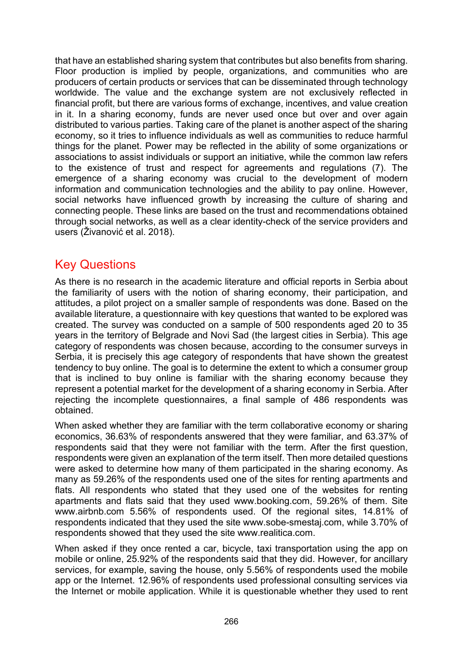that have an established sharing system that contributes but also benefits from sharing. Floor production is implied by people, organizations, and communities who are producers of certain products or services that can be disseminated through technology worldwide. The value and the exchange system are not exclusively reflected in financial profit, but there are various forms of exchange, incentives, and value creation in it. In a sharing economy, funds are never used once but over and over again distributed to various parties. Taking care of the planet is another aspect of the sharing economy, so it tries to influence individuals as well as communities to reduce harmful things for the planet. Power may be reflected in the ability of some organizations or associations to assist individuals or support an initiative, while the common law refers to the existence of trust and respect for agreements and regulations (7). The emergence of a sharing economy was crucial to the development of modern information and communication technologies and the ability to pay online. However, social networks have influenced growth by increasing the culture of sharing and connecting people. These links are based on the trust and recommendations obtained through social networks, as well as a clear identity-check of the service providers and users (Živanović et al. 2018).

# Key Questions

As there is no research in the academic literature and official reports in Serbia about the familiarity of users with the notion of sharing economy, their participation, and attitudes, a pilot project on a smaller sample of respondents was done. Based on the available literature, a questionnaire with key questions that wanted to be explored was created. The survey was conducted on a sample of 500 respondents aged 20 to 35 years in the territory of Belgrade and Novi Sad (the largest cities in Serbia). This age category of respondents was chosen because, according to the consumer surveys in Serbia, it is precisely this age category of respondents that have shown the greatest tendency to buy online. The goal is to determine the extent to which a consumer group that is inclined to buy online is familiar with the sharing economy because they represent a potential market for the development of a sharing economy in Serbia. After rejecting the incomplete questionnaires, a final sample of 486 respondents was obtained.

When asked whether they are familiar with the term collaborative economy or sharing economics, 36.63% of respondents answered that they were familiar, and 63.37% of respondents said that they were not familiar with the term. After the first question, respondents were given an explanation of the term itself. Then more detailed questions were asked to determine how many of them participated in the sharing economy. As many as 59.26% of the respondents used one of the sites for renting apartments and flats. All respondents who stated that they used one of the websites for renting apartments and flats said that they used www.booking.com, 59.26% of them. Site www.airbnb.com 5.56% of respondents used. Of the regional sites, 14.81% of respondents indicated that they used the site www.sobe-smestaj.com, while 3.70% of respondents showed that they used the site [www.realitica.com.](http://www.realitica.com/)

When asked if they once rented a car, bicycle, taxi transportation using the app on mobile or online, 25.92% of the respondents said that they did. However, for ancillary services, for example, saving the house, only 5.56% of respondents used the mobile app or the Internet. 12.96% of respondents used professional consulting services via the Internet or mobile application. While it is questionable whether they used to rent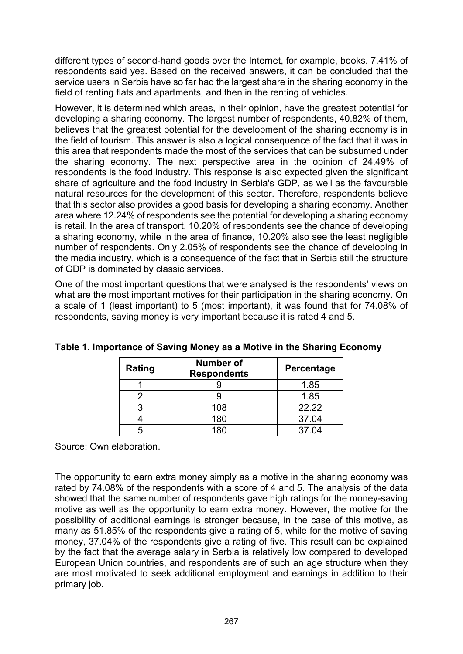different types of second-hand goods over the Internet, for example, books. 7.41% of respondents said yes. Based on the received answers, it can be concluded that the service users in Serbia have so far had the largest share in the sharing economy in the field of renting flats and apartments, and then in the renting of vehicles.

However, it is determined which areas, in their opinion, have the greatest potential for developing a sharing economy. The largest number of respondents, 40.82% of them, believes that the greatest potential for the development of the sharing economy is in the field of tourism. This answer is also a logical consequence of the fact that it was in this area that respondents made the most of the services that can be subsumed under the sharing economy. The next perspective area in the opinion of 24.49% of respondents is the food industry. This response is also expected given the significant share of agriculture and the food industry in Serbia's GDP, as well as the favourable natural resources for the development of this sector. Therefore, respondents believe that this sector also provides a good basis for developing a sharing economy. Another area where 12.24% of respondents see the potential for developing a sharing economy is retail. In the area of transport, 10.20% of respondents see the chance of developing a sharing economy, while in the area of finance, 10.20% also see the least negligible number of respondents. Only 2.05% of respondents see the chance of developing in the media industry, which is a consequence of the fact that in Serbia still the structure of GDP is dominated by classic services.

One of the most important questions that were analysed is the respondents' views on what are the most important motives for their participation in the sharing economy. On a scale of 1 (least important) to 5 (most important), it was found that for 74.08% of respondents, saving money is very important because it is rated 4 and 5.

| Rating | <b>Number of</b><br><b>Respondents</b> | Percentage |
|--------|----------------------------------------|------------|
|        |                                        | 1.85       |
|        |                                        | 1.85       |
|        | 108                                    | 22.22      |
|        | 180                                    | 37.04      |
|        | 180                                    | 37.04      |

|  | Table 1. Importance of Saving Money as a Motive in the Sharing Economy |  |  |  |  |  |  |
|--|------------------------------------------------------------------------|--|--|--|--|--|--|
|--|------------------------------------------------------------------------|--|--|--|--|--|--|

Source: Own elaboration.

The opportunity to earn extra money simply as a motive in the sharing economy was rated by 74.08% of the respondents with a score of 4 and 5. The analysis of the data showed that the same number of respondents gave high ratings for the money-saving motive as well as the opportunity to earn extra money. However, the motive for the possibility of additional earnings is stronger because, in the case of this motive, as many as 51.85% of the respondents give a rating of 5, while for the motive of saving money, 37.04% of the respondents give a rating of five. This result can be explained by the fact that the average salary in Serbia is relatively low compared to developed European Union countries, and respondents are of such an age structure when they are most motivated to seek additional employment and earnings in addition to their primary job.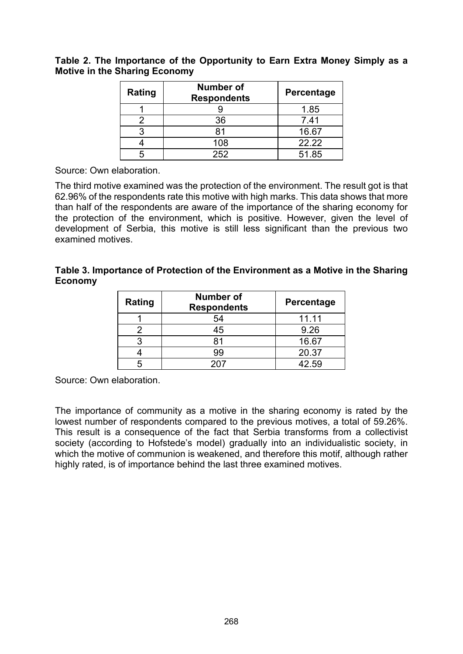#### **Table 2. The Importance of the Opportunity to Earn Extra Money Simply as a Motive in the Sharing Economy**

| Rating | <b>Number of</b><br><b>Respondents</b> | Percentage |
|--------|----------------------------------------|------------|
|        |                                        | 1.85       |
|        | 36                                     | 7.41       |
|        | 81                                     | 16.67      |
|        | 108                                    | 22.22      |
|        | 252                                    | 51.85      |

Source: Own elaboration.

The third motive examined was the protection of the environment. The result got is that 62.96% of the respondents rate this motive with high marks. This data shows that more than half of the respondents are aware of the importance of the sharing economy for the protection of the environment, which is positive. However, given the level of development of Serbia, this motive is still less significant than the previous two examined motives.

#### **Table 3. Importance of Protection of the Environment as a Motive in the Sharing Economy**

| Rating | <b>Number of</b><br><b>Respondents</b> | <b>Percentage</b> |
|--------|----------------------------------------|-------------------|
|        | 54                                     | 11.11             |
|        | 45                                     | 9.26              |
| ◠      | 81                                     | 16.67             |
|        | 99                                     | 20.37             |
|        |                                        | 42.59             |

Source: Own elaboration.

The importance of community as a motive in the sharing economy is rated by the lowest number of respondents compared to the previous motives, a total of 59.26%. This result is a consequence of the fact that Serbia transforms from a collectivist society (according to Hofstede's model) gradually into an individualistic society, in which the motive of communion is weakened, and therefore this motif, although rather highly rated, is of importance behind the last three examined motives.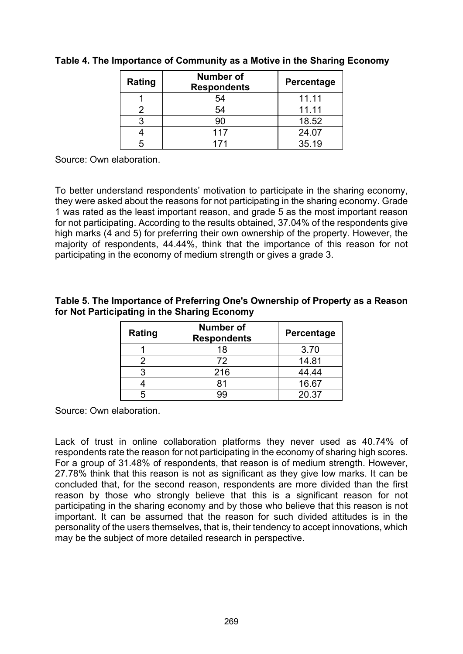| Rating | <b>Number of</b><br><b>Respondents</b> | <b>Percentage</b> |
|--------|----------------------------------------|-------------------|
|        | 54                                     | 11.11             |
|        | 54                                     | 11.11             |
|        |                                        | 18.52             |
|        | 117                                    | 24.07             |
|        |                                        | 35.19             |

### **Table 4. The Importance of Community as a Motive in the Sharing Economy**

Source: Own elaboration.

To better understand respondents' motivation to participate in the sharing economy, they were asked about the reasons for not participating in the sharing economy. Grade 1 was rated as the least important reason, and grade 5 as the most important reason for not participating. According to the results obtained, 37.04% of the respondents give high marks (4 and 5) for preferring their own ownership of the property. However, the majority of respondents, 44.44%, think that the importance of this reason for not participating in the economy of medium strength or gives a grade 3.

#### **Table 5. The Importance of Preferring One's Ownership of Property as a Reason for Not Participating in the Sharing Economy**

| Rating | <b>Number of</b><br><b>Respondents</b> | Percentage |
|--------|----------------------------------------|------------|
|        | 18                                     | 3.70       |
|        | 72                                     | 14.81      |
|        | 216                                    | 44.44      |
|        |                                        | 16.67      |
|        |                                        | 20.37      |

Source: Own elaboration.

Lack of trust in online collaboration platforms they never used as 40.74% of respondents rate the reason for not participating in the economy of sharing high scores. For a group of 31.48% of respondents, that reason is of medium strength. However, 27.78% think that this reason is not as significant as they give low marks. It can be concluded that, for the second reason, respondents are more divided than the first reason by those who strongly believe that this is a significant reason for not participating in the sharing economy and by those who believe that this reason is not important. It can be assumed that the reason for such divided attitudes is in the personality of the users themselves, that is, their tendency to accept innovations, which may be the subject of more detailed research in perspective.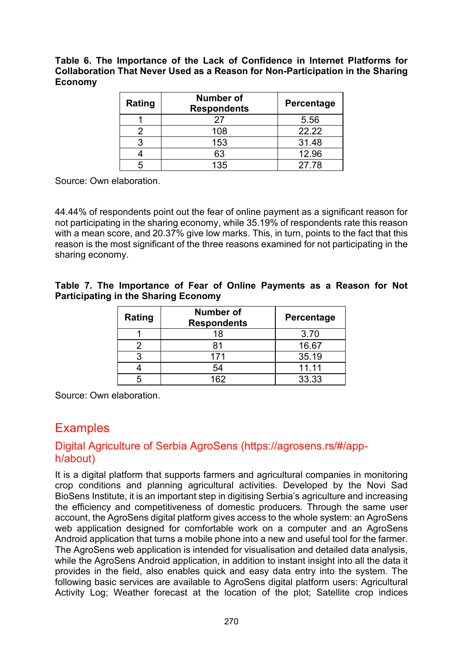**Table 6. The Importance of the Lack of Confidence in Internet Platforms for Collaboration That Never Used as a Reason for Non-Participation in the Sharing Economy**

| Rating | Number of<br><b>Respondents</b> | <b>Percentage</b> |
|--------|---------------------------------|-------------------|
|        | 27                              | 5.56              |
|        | 108                             | 22.22             |
|        | 153                             | 31.48             |
|        | 63                              | 12.96             |
|        | 135                             | 27.78             |

Source: Own elaboration.

44.44% of respondents point out the fear of online payment as a significant reason for not participating in the sharing economy, while 35.19% of respondents rate this reason with a mean score, and 20.37% give low marks. This, in turn, points to the fact that this reason is the most significant of the three reasons examined for not participating in the sharing economy.

**Table 7. The Importance of Fear of Online Payments as a Reason for Not Participating in the Sharing Economy**

| Rating | <b>Number of</b><br><b>Respondents</b> | Percentage |
|--------|----------------------------------------|------------|
|        | 18                                     | 3.70       |
|        |                                        | 16.67      |
|        | 171                                    | 35.19      |
|        | 54                                     | 11.11      |
|        | 162                                    | 33.33      |

Source: Own elaboration.

## **Examples**

### Digital Agriculture of Serbia AgroSens (https://agrosens.rs/#/apph/about)

It is a digital platform that supports farmers and agricultural companies in monitoring crop conditions and planning agricultural activities. Developed by the Novi Sad BioSens Institute, it is an important step in digitising Serbia's agriculture and increasing the efficiency and competitiveness of domestic producers. Through the same user account, the AgroSens digital platform gives access to the whole system: an AgroSens web application designed for comfortable work on a computer and an AgroSens Android application that turns a mobile phone into a new and useful tool for the farmer. The AgroSens web application is intended for visualisation and detailed data analysis, while the AgroSens Android application, in addition to instant insight into all the data it provides in the field, also enables quick and easy data entry into the system. The following basic services are available to AgroSens digital platform users: Agricultural Activity Log; Weather forecast at the location of the plot; Satellite crop indices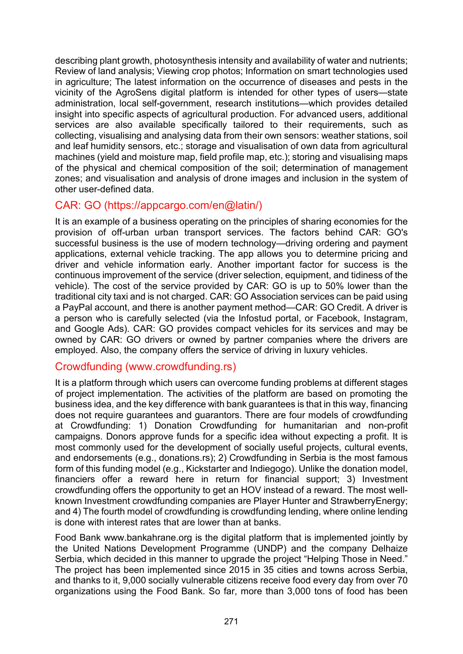describing plant growth, photosynthesis intensity and availability of water and nutrients; Review of land analysis; Viewing crop photos; Information on smart technologies used in agriculture; The latest information on the occurrence of diseases and pests in the vicinity of the AgroSens digital platform is intended for other types of users—state administration, local self-government, research institutions—which provides detailed insight into specific aspects of agricultural production. For advanced users, additional services are also available specifically tailored to their requirements, such as collecting, visualising and analysing data from their own sensors: weather stations, soil and leaf humidity sensors, etc.; storage and visualisation of own data from agricultural machines (yield and moisture map, field profile map, etc.); storing and visualising maps of the physical and chemical composition of the soil; determination of management zones; and visualisation and analysis of drone images and inclusion in the system of other user-defined data.

### CAR: GO ([https://appcargo.com/en@latin/\)](https://appcargo.com/sr@latin/)

It is an example of a business operating on the principles of sharing economies for the provision of off-urban urban transport services. The factors behind CAR: GO's successful business is the use of modern technology—driving ordering and payment applications, external vehicle tracking. The app allows you to determine pricing and driver and vehicle information early. Another important factor for success is the continuous improvement of the service (driver selection, equipment, and tidiness of the vehicle). The cost of the service provided by CAR: GO is up to 50% lower than the traditional city taxi and is not charged. CAR: GO Association services can be paid using a PayPal account, and there is another payment method—CAR: GO Credit. A driver is a person who is carefully selected (via the Infostud portal, or Facebook, Instagram, and Google Ads). CAR: GO provides compact vehicles for its services and may be owned by CAR: GO drivers or owned by partner companies where the drivers are employed. Also, the company offers the service of driving in luxury vehicles.

### Crowdfunding [\(www.crowdfunding.rs\)](https://www.crowdfunding.rs/)

It is a platform through which users can overcome funding problems at different stages of project implementation. The activities of the platform are based on promoting the business idea, and the key difference with bank guarantees is that in this way, financing does not require guarantees and guarantors. There are four models of crowdfunding at Crowdfunding: 1) Donation Crowdfunding for humanitarian and non-profit campaigns. Donors approve funds for a specific idea without expecting a profit. It is most commonly used for the development of socially useful projects, cultural events, and endorsements (e.g., donations.rs); 2) Crowdfunding in Serbia is the most famous form of this funding model (e.g., Kickstarter and Indiegogo). Unlike the donation model, financiers offer a reward here in return for financial support; 3) Investment crowdfunding offers the opportunity to get an HOV instead of a reward. The most wellknown Investment crowdfunding companies are Player Hunter and StrawberryEnergy; and 4) The fourth model of crowdfunding is crowdfunding lending, where online lending is done with interest rates that are lower than at banks.

Food Bank www[.bankahrane.org](http://www.bankahrane.org/) is the digital platform that is implemented jointly by the United Nations Development Programme (UNDP) and the company Delhaize Serbia, which decided in this manner to upgrade the project "Helping Those in Need." The project has been implemented since 2015 in 35 cities and towns across Serbia, and thanks to it, 9,000 socially vulnerable citizens receive food every day from over 70 organizations using the Food Bank. So far, more than 3,000 tons of food has been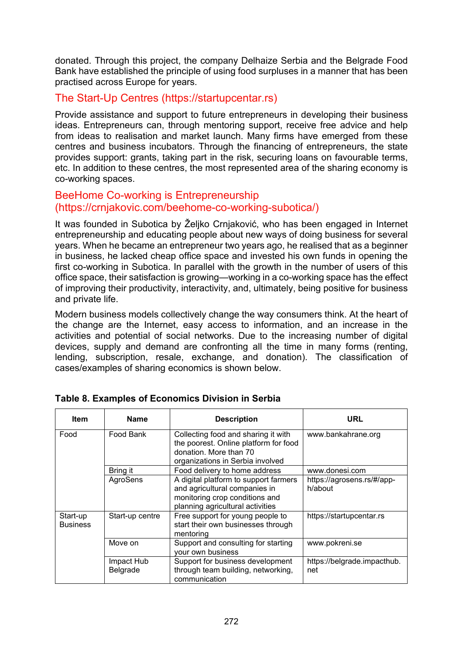donated. Through this project, the company Delhaize Serbia and the Belgrade Food Bank have established the principle of using food surpluses in a manner that has been practised across Europe for years.

### The Start-Up Centres (https://startupcentar.rs)

Provide assistance and support to future entrepreneurs in developing their business ideas. Entrepreneurs can, through mentoring support, receive free advice and help from ideas to realisation and market launch. Many firms have emerged from these centres and business incubators. Through the financing of entrepreneurs, the state provides support: grants, taking part in the risk, securing loans on favourable terms, etc. In addition to these centres, the most represented area of the sharing economy is co-working spaces.

### BeeHome Co-working is Entrepreneurship (https://crnjakovic.com/beehome-co-working-subotica/)

It was founded in Subotica by Željko Crnjaković, who has been engaged in Internet entrepreneurship and educating people about new ways of doing business for several years. When he became an entrepreneur two years ago, he realised that as a beginner in business, he lacked cheap office space and invested his own funds in opening the first co-working in Subotica. In parallel with the growth in the number of users of this office space, their satisfaction is growing—working in a co-working space has the effect of improving their productivity, interactivity, and, ultimately, being positive for business and private life.

Modern business models collectively change the way consumers think. At the heart of the change are the Internet, easy access to information, and an increase in the activities and potential of social networks. Due to the increasing number of digital devices, supply and demand are confronting all the time in many forms (renting, lending, subscription, resale, exchange, and donation). The classification of cases/examples of sharing economics is shown below.

| <b>Item</b>                 | <b>Name</b>            | <b>Description</b>                                                                                                                           | URL                                   |
|-----------------------------|------------------------|----------------------------------------------------------------------------------------------------------------------------------------------|---------------------------------------|
| Food                        | Food Bank              | Collecting food and sharing it with<br>the poorest. Online platform for food<br>donation. More than 70<br>organizations in Serbia involved   | www.bankahrane.org                    |
|                             | Bring it               | Food delivery to home address                                                                                                                | www.donesi.com                        |
|                             | AgroSens               | A digital platform to support farmers<br>and agricultural companies in<br>monitoring crop conditions and<br>planning agricultural activities | https://agrosens.rs/#/app-<br>h/about |
| Start-up<br><b>Business</b> | Start-up centre        | Free support for young people to<br>start their own businesses through<br>mentoring                                                          | https://startupcentar.rs              |
|                             | Move on                | Support and consulting for starting<br>your own business                                                                                     | www.pokreni.se                        |
|                             | Impact Hub<br>Belgrade | Support for business development<br>through team building, networking,<br>communication                                                      | https://belgrade.impacthub.<br>net    |

### **Table 8. Examples of Economics Division in Serbia**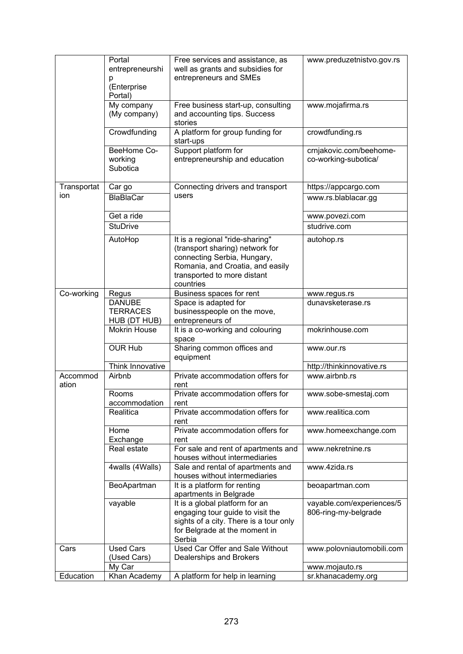|                   | Portal<br>entrepreneurshi<br>р<br>(Enterprise<br>Portal) | Free services and assistance, as<br>well as grants and subsidies for<br>entrepreneurs and SMEs                                                                                    | www.preduzetnistvo.gov.rs                         |
|-------------------|----------------------------------------------------------|-----------------------------------------------------------------------------------------------------------------------------------------------------------------------------------|---------------------------------------------------|
|                   | My company<br>(My company)                               | Free business start-up, consulting<br>and accounting tips. Success<br>stories                                                                                                     | www.mojafirma.rs                                  |
|                   | Crowdfunding                                             | A platform for group funding for<br>start-ups                                                                                                                                     | crowdfunding.rs                                   |
|                   | BeeHome Co-<br>working<br>Subotica                       | Support platform for<br>entrepreneurship and education                                                                                                                            | crnjakovic.com/beehome-<br>co-working-subotica/   |
| Transportat       | Car go                                                   | Connecting drivers and transport                                                                                                                                                  | https://appcargo.com                              |
| ion               | <b>BlaBlaCar</b>                                         | users                                                                                                                                                                             | www.rs.blablacar.gg                               |
|                   | Get a ride                                               |                                                                                                                                                                                   | www.povezi.com                                    |
|                   | <b>StuDrive</b>                                          |                                                                                                                                                                                   | studrive.com                                      |
|                   | AutoHop                                                  | It is a regional "ride-sharing"<br>(transport sharing) network for<br>connecting Serbia, Hungary,<br>Romania, and Croatia, and easily<br>transported to more distant<br>countries | autohop.rs                                        |
| Co-working        | Regus                                                    | Business spaces for rent                                                                                                                                                          | www.regus.rs                                      |
|                   | <b>DANUBE</b><br><b>TERRACES</b><br>HUB (DT HUB)         | Space is adapted for<br>businesspeople on the move,<br>entrepreneurs of                                                                                                           | dunavsketerase.rs                                 |
|                   | <b>Mokrin House</b>                                      | It is a co-working and colouring<br>space                                                                                                                                         | mokrinhouse.com                                   |
|                   | <b>OUR Hub</b>                                           | Sharing common offices and<br>equipment                                                                                                                                           | www.our.rs                                        |
|                   | Think Innovative                                         |                                                                                                                                                                                   | http://thinkinnovative.rs                         |
| Accommod<br>ation | Airbnb                                                   | Private accommodation offers for<br>rent                                                                                                                                          | www.airbnb.rs                                     |
|                   | Rooms<br>accommodation                                   | Private accommodation offers for<br>rent                                                                                                                                          | www.sobe-smestaj.com                              |
|                   | Realitica                                                | Private accommodation offers for<br>rent                                                                                                                                          | www.realitica.com                                 |
|                   | Home<br>Exchange                                         | Private accommodation offers for<br>rent                                                                                                                                          | www.homeexchange.com                              |
|                   | Real estate                                              | For sale and rent of apartments and<br>houses without intermediaries                                                                                                              | www.nekretnine.rs                                 |
|                   | 4walls (4Walls)                                          | Sale and rental of apartments and<br>houses without intermediaries                                                                                                                | www.4zida.rs                                      |
|                   | BeoApartman                                              | It is a platform for renting<br>apartments in Belgrade                                                                                                                            | beoapartman.com                                   |
|                   | vayable                                                  | It is a global platform for an<br>engaging tour guide to visit the<br>sights of a city. There is a tour only<br>for Belgrade at the moment in<br>Serbia                           | vayable.com/experiences/5<br>806-ring-my-belgrade |
| Cars              | <b>Used Cars</b><br>(Used Cars)                          | Used Car Offer and Sale Without<br>Dealerships and Brokers                                                                                                                        | www.polovniautomobili.com                         |
|                   | My Car                                                   |                                                                                                                                                                                   | www.mojauto.rs                                    |
| Education         | Khan Academy                                             | A platform for help in learning                                                                                                                                                   | sr.khanacademy.org                                |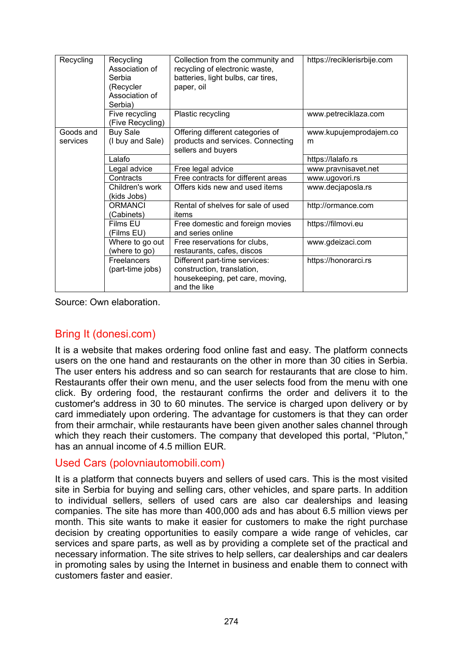| Recycling             | Recycling<br>Association of<br>Serbia<br>(Recycler<br>Association of<br>Serbia) | Collection from the community and<br>recycling of electronic waste,<br>batteries, light bulbs, car tires,<br>paper, oil | https://reciklerisrbije.com |
|-----------------------|---------------------------------------------------------------------------------|-------------------------------------------------------------------------------------------------------------------------|-----------------------------|
|                       | Five recycling<br>(Five Recycling)                                              | Plastic recycling                                                                                                       | www.petreciklaza.com        |
| Goods and<br>services | <b>Buy Sale</b><br>(I buy and Sale)                                             | Offering different categories of<br>products and services. Connecting<br>sellers and buyers                             | www.kupujemprodajem.co<br>m |
|                       | Lalafo                                                                          |                                                                                                                         | https://lalafo.rs           |
|                       | Legal advice                                                                    | Free legal advice                                                                                                       | www.pravnisavet.net         |
|                       | Contracts                                                                       | Free contracts for different areas                                                                                      | www.ugovori.rs              |
|                       | Children's work<br>(kids Jobs)                                                  | Offers kids new and used items                                                                                          | www.decjaposla.rs           |
|                       | <b>ORMANCI</b><br>(Cabinets)                                                    | Rental of shelves for sale of used<br>items                                                                             | http://ormance.com          |
|                       | Films EU<br>(Films EU)                                                          | Free domestic and foreign movies<br>and series online                                                                   | https://filmovi.eu          |
|                       | Where to go out<br>(where to go)                                                | Free reservations for clubs,<br>restaurants, cafes, discos                                                              | www.gdeizaci.com            |
|                       | Freelancers<br>(part-time jobs)                                                 | Different part-time services:<br>construction, translation,<br>housekeeping, pet care, moving,<br>and the like          | https://honorarci.rs        |

Source: Own elaboration.

### Bring It (donesi.com)

It is a website that makes ordering food online fast and easy. The platform connects users on the one hand and restaurants on the other in more than 30 cities in Serbia. The user enters his address and so can search for restaurants that are close to him. Restaurants offer their own menu, and the user selects food from the menu with one click. By ordering food, the restaurant confirms the order and delivers it to the customer's address in 30 to 60 minutes. The service is charged upon delivery or by card immediately upon ordering. The advantage for customers is that they can order from their armchair, while restaurants have been given another sales channel through which they reach their customers. The company that developed this portal, "Pluton," has an annual income of 4.5 million EUR.

### Used Cars (polovniautomobili.com)

It is a platform that connects buyers and sellers of used cars. This is the most visited site in Serbia for buying and selling cars, other vehicles, and spare parts. In addition to individual sellers, sellers of used cars are also car dealerships and leasing companies. The site has more than 400,000 ads and has about 6.5 million views per month. This site wants to make it easier for customers to make the right purchase decision by creating opportunities to easily compare a wide range of vehicles, car services and spare parts, as well as by providing a complete set of the practical and necessary information. The site strives to help sellers, car dealerships and car dealers in promoting sales by using the Internet in business and enable them to connect with customers faster and easier.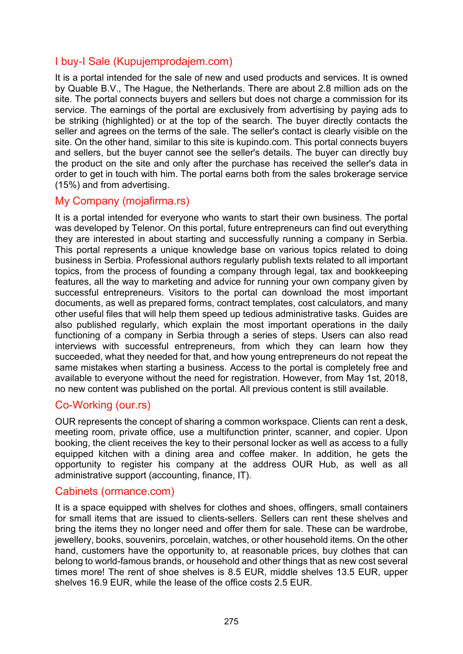### I buy-I Sale (Kupujemprodajem.com)

It is a portal intended for the sale of new and used products and services. It is owned by Quable B.V., The Hague, the Netherlands. There are about 2.8 million ads on the site. The portal connects buyers and sellers but does not charge a commission for its service. The earnings of the portal are exclusively from advertising by paying ads to be striking (highlighted) or at the top of the search. The buyer directly contacts the seller and agrees on the terms of the sale. The seller's contact is clearly visible on the site. On the other hand, similar to this site is kupindo.com. This portal connects buyers and sellers, but the buyer cannot see the seller's details. The buyer can directly buy the product on the site and only after the purchase has received the seller's data in order to get in touch with him. The portal earns both from the sales brokerage service (15%) and from advertising.

### My Company (mojafirma.rs)

It is a portal intended for everyone who wants to start their own business. The portal was developed by Telenor. On this portal, future entrepreneurs can find out everything they are interested in about starting and successfully running a company in Serbia. This portal represents a unique knowledge base on various topics related to doing business in Serbia. Professional authors regularly publish texts related to all important topics, from the process of founding a company through legal, tax and bookkeeping features, all the way to marketing and advice for running your own company given by successful entrepreneurs. Visitors to the portal can download the most important documents, as well as prepared forms, contract templates, cost calculators, and many other useful files that will help them speed up tedious administrative tasks. Guides are also published regularly, which explain the most important operations in the daily functioning of a company in Serbia through a series of steps. Users can also read interviews with successful entrepreneurs, from which they can learn how they succeeded, what they needed for that, and how young entrepreneurs do not repeat the same mistakes when starting a business. Access to the portal is completely free and available to everyone without the need for registration. However, from May 1st, 2018, no new content was published on the portal. All previous content is still available.

### Co-Working (our.rs)

OUR represents the concept of sharing a common workspace. Clients can rent a desk, meeting room, private office, use a multifunction printer, scanner, and copier. Upon booking, the client receives the key to their personal locker as well as access to a fully equipped kitchen with a dining area and coffee maker. In addition, he gets the opportunity to register his company at the address OUR Hub, as well as all administrative support (accounting, finance, IT).

### Cabinets (ormance.com)

It is a space equipped with shelves for clothes and shoes, offingers, small containers for small items that are issued to clients-sellers. Sellers can rent these shelves and bring the items they no longer need and offer them for sale. These can be wardrobe, jewellery, books, souvenirs, porcelain, watches, or other household items. On the other hand, customers have the opportunity to, at reasonable prices, buy clothes that can belong to world-famous brands, or household and other things that as new cost several times more! The rent of shoe shelves is 8.5 EUR, middle shelves 13.5 EUR, upper shelves 16.9 EUR, while the lease of the office costs 2.5 EUR.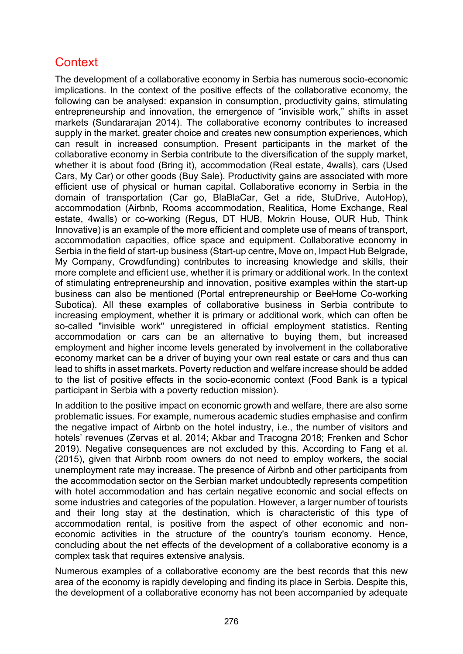# **Context**

The development of a collaborative economy in Serbia has numerous socio-economic implications. In the context of the positive effects of the collaborative economy, the following can be analysed: expansion in consumption, productivity gains, stimulating entrepreneurship and innovation, the emergence of "invisible work," shifts in asset markets (Sundararajan 2014). The collaborative economy contributes to increased supply in the market, greater choice and creates new consumption experiences, which can result in increased consumption. Present participants in the market of the collaborative economy in Serbia contribute to the diversification of the supply market, whether it is about food (Bring it), accommodation (Real estate, 4walls), cars (Used Cars, My Car) or other goods (Buy Sale). Productivity gains are associated with more efficient use of physical or human capital. Collaborative economy in Serbia in the domain of transportation (Car go, BlaBlaCar, Get a ride, StuDrive, AutoHop), accommodation (Airbnb, Rooms accommodation, Realitica, Home Exchange, Real estate, 4walls) or co-working (Regus, DT HUB, Mokrin House, OUR Hub, Think Innovative) is an example of the more efficient and complete use of means of transport, accommodation capacities, office space and equipment. Collaborative economy in Serbia in the field of start-up business (Start-up centre, Move on, Impact Hub Belgrade, My Company, Crowdfunding) contributes to increasing knowledge and skills, their more complete and efficient use, whether it is primary or additional work. In the context of stimulating entrepreneurship and innovation, positive examples within the start-up business can also be mentioned (Portal entrepreneurship or BeeHome Co-working Subotica). All these examples of collaborative business in Serbia contribute to increasing employment, whether it is primary or additional work, which can often be so-called "invisible work" unregistered in official employment statistics. Renting accommodation or cars can be an alternative to buying them, but increased employment and higher income levels generated by involvement in the collaborative economy market can be a driver of buying your own real estate or cars and thus can lead to shifts in asset markets. Poverty reduction and welfare increase should be added to the list of positive effects in the socio-economic context (Food Bank is a typical participant in Serbia with a poverty reduction mission).

In addition to the positive impact on economic growth and welfare, there are also some problematic issues. For example, numerous academic studies emphasise and confirm the negative impact of Airbnb on the hotel industry, i.e., the number of visitors and hotels' revenues (Zervas et al. 2014: Akbar and Tracogna 2018: Frenken and Schor 2019). Negative consequences are not excluded by this. According to Fang et al. (2015), given that Airbnb room owners do not need to employ workers, the social unemployment rate may increase. The presence of Airbnb and other participants from the accommodation sector on the Serbian market undoubtedly represents competition with hotel accommodation and has certain negative economic and social effects on some industries and categories of the population. However, a larger number of tourists and their long stay at the destination, which is characteristic of this type of accommodation rental, is positive from the aspect of other economic and noneconomic activities in the structure of the country's tourism economy. Hence, concluding about the net effects of the development of a collaborative economy is a complex task that requires extensive analysis.

Numerous examples of a collaborative economy are the best records that this new area of the economy is rapidly developing and finding its place in Serbia. Despite this, the development of a collaborative economy has not been accompanied by adequate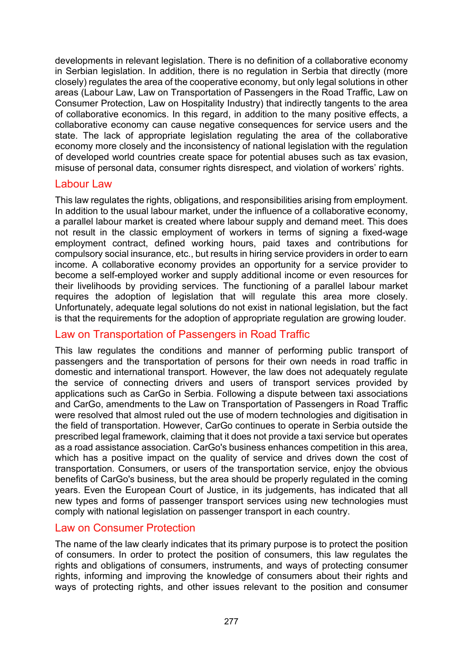developments in relevant legislation. There is no definition of a collaborative economy in Serbian legislation. In addition, there is no regulation in Serbia that directly (more closely) regulates the area of the cooperative economy, but only legal solutions in other areas (Labour Law, Law on Transportation of Passengers in the Road Traffic, Law on Consumer Protection, Law on Hospitality Industry) that indirectly tangents to the area of collaborative economics. In this regard, in addition to the many positive effects, a collaborative economy can cause negative consequences for service users and the state. The lack of appropriate legislation regulating the area of the collaborative economy more closely and the inconsistency of national legislation with the regulation of developed world countries create space for potential abuses such as tax evasion, misuse of personal data, consumer rights disrespect, and violation of workers' rights.

### Labour Law

This law regulates the rights, obligations, and responsibilities arising from employment. In addition to the usual labour market, under the influence of a collaborative economy, a parallel labour market is created where labour supply and demand meet. This does not result in the classic employment of workers in terms of signing a fixed-wage employment contract, defined working hours, paid taxes and contributions for compulsory social insurance, etc., but results in hiring service providers in order to earn income. A collaborative economy provides an opportunity for a service provider to become a self-employed worker and supply additional income or even resources for their livelihoods by providing services. The functioning of a parallel labour market requires the adoption of legislation that will regulate this area more closely. Unfortunately, adequate legal solutions do not exist in national legislation, but the fact is that the requirements for the adoption of appropriate regulation are growing louder.

### Law on Transportation of Passengers in Road Traffic

This law regulates the conditions and manner of performing public transport of passengers and the transportation of persons for their own needs in road traffic in domestic and international transport. However, the law does not adequately regulate the service of connecting drivers and users of transport services provided by applications such as CarGo in Serbia. Following a dispute between taxi associations and CarGo, amendments to the Law on Transportation of Passengers in Road Traffic were resolved that almost ruled out the use of modern technologies and digitisation in the field of transportation. However, CarGo continues to operate in Serbia outside the prescribed legal framework, claiming that it does not provide a taxi service but operates as a road assistance association. CarGo's business enhances competition in this area, which has a positive impact on the quality of service and drives down the cost of transportation. Consumers, or users of the transportation service, enjoy the obvious benefits of CarGo's business, but the area should be properly regulated in the coming years. Even the European Court of Justice, in its judgements, has indicated that all new types and forms of passenger transport services using new technologies must comply with national legislation on passenger transport in each country.

### Law on Consumer Protection

The name of the law clearly indicates that its primary purpose is to protect the position of consumers. In order to protect the position of consumers, this law regulates the rights and obligations of consumers, instruments, and ways of protecting consumer rights, informing and improving the knowledge of consumers about their rights and ways of protecting rights, and other issues relevant to the position and consumer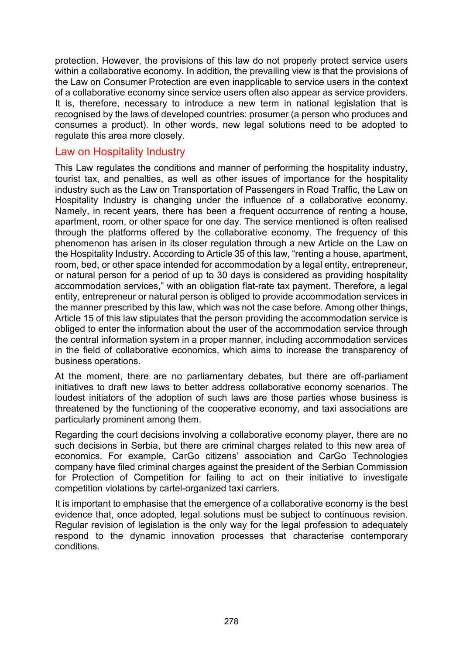protection. However, the provisions of this law do not properly protect service users within a collaborative economy. In addition, the prevailing view is that the provisions of the Law on Consumer Protection are even inapplicable to service users in the context of a collaborative economy since service users often also appear as service providers. It is, therefore, necessary to introduce a new term in national legislation that is recognised by the laws of developed countries: prosumer (a person who produces and consumes a product). In other words, new legal solutions need to be adopted to regulate this area more closely.

### Law on Hospitality Industry

This Law regulates the conditions and manner of performing the hospitality industry, tourist tax, and penalties, as well as other issues of importance for the hospitality industry such as the Law on Transportation of Passengers in Road Traffic, the Law on Hospitality Industry is changing under the influence of a collaborative economy. Namely, in recent years, there has been a frequent occurrence of renting a house, apartment, room, or other space for one day. The service mentioned is often realised through the platforms offered by the collaborative economy. The frequency of this phenomenon has arisen in its closer regulation through a new Article on the Law on the Hospitality Industry. According to Article 35 of this law, "renting a house, apartment, room, bed, or other space intended for accommodation by a legal entity, entrepreneur, or natural person for a period of up to 30 days is considered as providing hospitality accommodation services," with an obligation flat-rate tax payment. Therefore, a legal entity, entrepreneur or natural person is obliged to provide accommodation services in the manner prescribed by this law, which was not the case before. Among other things, Article 15 of this law stipulates that the person providing the accommodation service is obliged to enter the information about the user of the accommodation service through the central information system in a proper manner, including accommodation services in the field of collaborative economics, which aims to increase the transparency of business operations.

At the moment, there are no parliamentary debates, but there are off-parliament initiatives to draft new laws to better address collaborative economy scenarios. The loudest initiators of the adoption of such laws are those parties whose business is threatened by the functioning of the cooperative economy, and taxi associations are particularly prominent among them.

Regarding the court decisions involving a collaborative economy player, there are no such decisions in Serbia, but there are criminal charges related to this new area of economics. For example, CarGo citizens' association and CarGo Technologies company have filed criminal charges against the president of the Serbian Commission for Protection of Competition for failing to act on their initiative to investigate competition violations by cartel-organized taxi carriers.

It is important to emphasise that the emergence of a collaborative economy is the best evidence that, once adopted, legal solutions must be subject to continuous revision. Regular revision of legislation is the only way for the legal profession to adequately respond to the dynamic innovation processes that characterise contemporary conditions.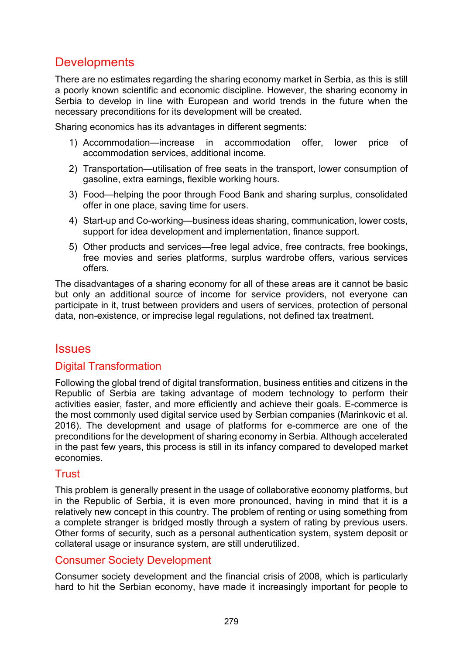# **Developments**

There are no estimates regarding the sharing economy market in Serbia, as this is still a poorly known scientific and economic discipline. However, the sharing economy in Serbia to develop in line with European and world trends in the future when the necessary preconditions for its development will be created.

Sharing economics has its advantages in different segments:

- 1) Accommodation—increase in accommodation offer, lower price of accommodation services, additional income.
- 2) Transportation—utilisation of free seats in the transport, lower consumption of gasoline, extra earnings, flexible working hours.
- 3) Food—helping the poor through Food Bank and sharing surplus, consolidated offer in one place, saving time for users.
- 4) Start-up and Co-working—business ideas sharing, communication, lower costs, support for idea development and implementation, finance support.
- 5) Other products and services—free legal advice, free contracts, free bookings, free movies and series platforms, surplus wardrobe offers, various services offers.

The disadvantages of a sharing economy for all of these areas are it cannot be basic but only an additional source of income for service providers, not everyone can participate in it, trust between providers and users of services, protection of personal data, non-existence, or imprecise legal regulations, not defined tax treatment.

## **Issues**

### Digital Transformation

Following the global trend of digital transformation, business entities and citizens in the Republic of Serbia are taking advantage of modern technology to perform their activities easier, faster, and more efficiently and achieve their goals. E-commerce is the most commonly used digital service used by Serbian companies (Marinkovic et al. 2016). The development and usage of platforms for e-commerce are one of the preconditions for the development of sharing economy in Serbia. Although accelerated in the past few years, this process is still in its infancy compared to developed market economies.

### Trust

This problem is generally present in the usage of collaborative economy platforms, but in the Republic of Serbia, it is even more pronounced, having in mind that it is a relatively new concept in this country. The problem of renting or using something from a complete stranger is bridged mostly through a system of rating by previous users. Other forms of security, such as a personal authentication system, system deposit or collateral usage or insurance system, are still underutilized.

### Consumer Society Development

Consumer society development and the financial crisis of 2008, which is particularly hard to hit the Serbian economy, have made it increasingly important for people to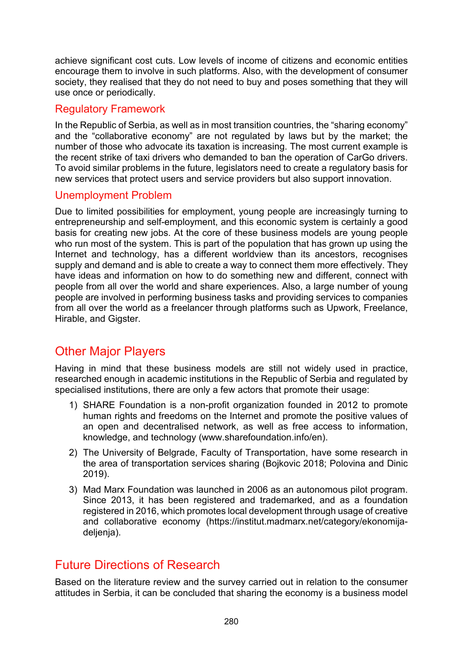achieve significant cost cuts. Low levels of income of citizens and economic entities encourage them to involve in such platforms. Also, with the development of consumer society, they realised that they do not need to buy and poses something that they will use once or periodically.

### Regulatory Framework

In the Republic of Serbia, as well as in most transition countries, the "sharing economy" and the "collaborative economy" are not regulated by laws but by the market; the number of those who advocate its taxation is increasing. The most current example is the recent strike of taxi drivers who demanded to ban the operation of CarGo drivers. To avoid similar problems in the future, legislators need to create a regulatory basis for new services that protect users and service providers but also support innovation.

### Unemployment Problem

Due to limited possibilities for employment, young people are increasingly turning to entrepreneurship and self-employment, and this economic system is certainly a good basis for creating new jobs. At the core of these business models are young people who run most of the system. This is part of the population that has grown up using the Internet and technology, has a different worldview than its ancestors, recognises supply and demand and is able to create a way to connect them more effectively. They have ideas and information on how to do something new and different, connect with people from all over the world and share experiences. Also, a large number of young people are involved in performing business tasks and providing services to companies from all over the world as a freelancer through platforms such as Upwork, Freelance, Hirable, and Gigster.

# Other Major Players

Having in mind that these business models are still not widely used in practice, researched enough in academic institutions in the Republic of Serbia and regulated by specialised institutions, there are only a few actors that promote their usage:

- 1) SHARE Foundation is a non-profit organization founded in 2012 to promote human rights and freedoms on the Internet and promote the positive values of an open and decentralised network, as well as free access to information, knowledge, and technology (www.sharefoundation.info/en).
- 2) The University of Belgrade, Faculty of Transportation, have some research in the area of transportation services sharing (Bojkovic 2018; Polovina and Dinic 2019).
- 3) [Mad Marx Foundation](http://fondacija.madmarx.net/category/istrazivanje-razvoj/) [was launched in 2006 as an autonomous pilot program.](http://fondacija.madmarx.net/category/istrazivanje-razvoj/)  Since 2013, it has been registered [and trademarked, and as a foundation](http://fondacija.madmarx.net/category/istrazivanje-razvoj/)  [registered in 2016, which promotes local development through usage of creative](http://fondacija.madmarx.net/category/istrazivanje-razvoj/)  [and collaborative economy \(https://institut.madmarx.net/category/ekonomija](http://fondacija.madmarx.net/category/istrazivanje-razvoj/)[deljenja\).](http://fondacija.madmarx.net/category/istrazivanje-razvoj/)

# Future Directions of Research

Based on the literature review and the survey carried out in relation to the consumer attitudes in Serbia, it can be concluded that sharing the economy is a business model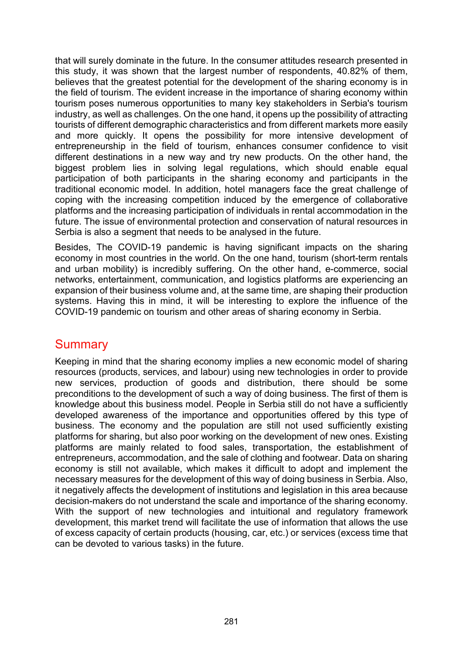that will surely dominate in the future. In the consumer attitudes research presented in this study, it was shown that the largest number of respondents, 40.82% of them, believes that the greatest potential for the development of the sharing economy is in the field of tourism. The evident increase in the importance of sharing economy within tourism poses numerous opportunities to many key stakeholders in Serbia's tourism industry, as well as challenges. On the one hand, it opens up the possibility of attracting tourists of different demographic characteristics and from different markets more easily and more quickly. It opens the possibility for more intensive development of entrepreneurship in the field of tourism, enhances consumer confidence to visit different destinations in a new way and try new products. On the other hand, the biggest problem lies in solving legal regulations, which should enable equal participation of both participants in the sharing economy and participants in the traditional economic model. In addition, hotel managers face the great challenge of coping with the increasing competition induced by the emergence of collaborative platforms and the increasing participation of individuals in rental accommodation in the future. The issue of environmental protection and conservation of natural resources in Serbia is also a segment that needs to be analysed in the future.

Besides, The COVID-19 pandemic is having significant impacts on the sharing economy in most countries in the world. On the one hand, tourism (short-term rentals and urban mobility) is incredibly suffering. On the other hand, e-commerce, social networks, entertainment, communication, and logistics platforms are experiencing an expansion of their business volume and, at the same time, are shaping their production systems. Having this in mind, it will be interesting to explore the influence of the COVID-19 pandemic on tourism and other areas of sharing economy in Serbia.

# **Summary**

Keeping in mind that the sharing economy implies a new economic model of sharing resources (products, services, and labour) using new technologies in order to provide new services, production of goods and distribution, there should be some preconditions to the development of such a way of doing business. The first of them is knowledge about this business model. People in Serbia still do not have a sufficiently developed awareness of the importance and opportunities offered by this type of business. The economy and the population are still not used sufficiently existing platforms for sharing, but also poor working on the development of new ones. Existing platforms are mainly related to food sales, transportation, the establishment of entrepreneurs, accommodation, and the sale of clothing and footwear. Data on sharing economy is still not available, which makes it difficult to adopt and implement the necessary measures for the development of this way of doing business in Serbia. Also, it negatively affects the development of institutions and legislation in this area because decision-makers do not understand the scale and importance of the sharing economy. With the support of new technologies and intuitional and regulatory framework development, this market trend will facilitate the use of information that allows the use of excess capacity of certain products (housing, car, etc.) or services (excess time that can be devoted to various tasks) in the future.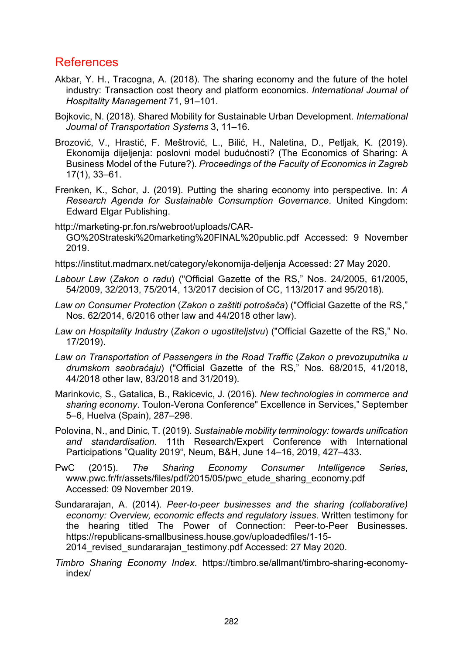# References

- Akbar, Y. H., Tracogna, A. (2018). The sharing economy and the future of the hotel industry: Transaction cost theory and platform economics. *International Journal of Hospitality Management* 71, 91–101.
- Bojkovic, N. (2018). Shared Mobility for Sustainable Urban Development. *International Journal of Transportation Systems* 3, 11–16.
- Brozović, V., Hrastić, F. Meštrović, L., Bilić, H., Naletina, D., Petljak, K. (2019). Ekonomija dijeljenja: poslovni model budućnosti? (The Economics of Sharing: A Business Model of the Future?). *Proceedings of the Faculty of Economics in Zagreb* 17(1), 33–61.
- Frenken, K., Schor, J. (2019). Putting the sharing economy into perspective. In: *A Research Agenda for Sustainable Consumption Governance*. United Kingdom: Edward Elgar Publishing.
- http://marketing-[pr.fon.rs/webroot/uploads/CAR](http://marketing-pr.fon.rs/webroot/uploads/CAR-GO%20Strateski%20marketing%20FINAL%20public.pdf)-[GO%20Strateski%20marketing%20FINAL%20public.pdf](http://marketing-pr.fon.rs/webroot/uploads/CAR-GO%20Strateski%20marketing%20FINAL%20public.pdf) Accessed: 9 November 2019.
- https://institut.madmarx.net/category/ekonomija-deljenja Accessed: 27 May 2020.
- *Labour Law* (*Zakon o radu*) ("Official Gazette of the RS," Nos. 24/2005, 61/2005, 54/2009, 32/2013, 75/2014, 13/2017 decision of CC, 113/2017 and 95/2018).
- *Law on Consumer Protection* (*Zakon o zaštiti potrošača*) ("Official Gazette of the RS," Nos. 62/2014, 6/2016 other law and 44/2018 other law).
- *Law on Hospitality Industry* (*Zakon o ugostiteljstvu*) ("Official Gazette of the RS," No. 17/2019).
- *Law on Transportation of Passengers in the Road Traffic* (*Zakon o prevozuputnika u drumskom saobraćaju*) ("Official Gazette of the RS," Nos. 68/2015, 41/2018, 44/2018 other law, 83/2018 and 31/2019).
- Marinkovic, S., Gatalica, B., Rakicevic, J. (2016). *New technologies in commerce and sharing economy*. Toulon-Verona Conference" Excellence in Services," September 5–6, Huelva (Spain), 287–298.
- Polovina, N., and Dinic, T. (2019). *Sustainable mobility terminology: towards unification and standardisation*. 11th Research/Expert Conference with International Participations "Quality 2019", Neum, B&H, June 14–16, 2019, 427–433.
- PwC (2015). *The Sharing Economy Consumer Intelligence Series*, [www.pwc.fr/fr/assets/files/pdf/2015/05/pwc\\_etude\\_sharing\\_economy.pdf](https://www.pwc.fr/fr/assets/files/pdf/2015/05/pwc_etude_sharing_economy.pdf) Accessed: 09 November 2019.
- Sundararajan, A. (2014). *Peer-to-peer businesses and the sharing (collaborative) economy: Overview, economic effects and regulatory issues*. Written testimony for the hearing titled The Power of Connection: Peer-to-Peer Businesses. https://republicans-[smallbusiness.house.gov/uploadedfiles/1](https://republicans-smallbusiness.house.gov/uploadedfiles/1-15-2014_revised_sundararajan_testimony.pdf)-15- 2014 revised sundararajan testimony.pdf Accessed: 27 May 2020.
- *Timbro Sharing Economy Index*. [https://timbro.se/allmant/timbro](https://timbro.se/allmant/timbro-sharing-economy-index/)-sharing-economy[index/](https://timbro.se/allmant/timbro-sharing-economy-index/)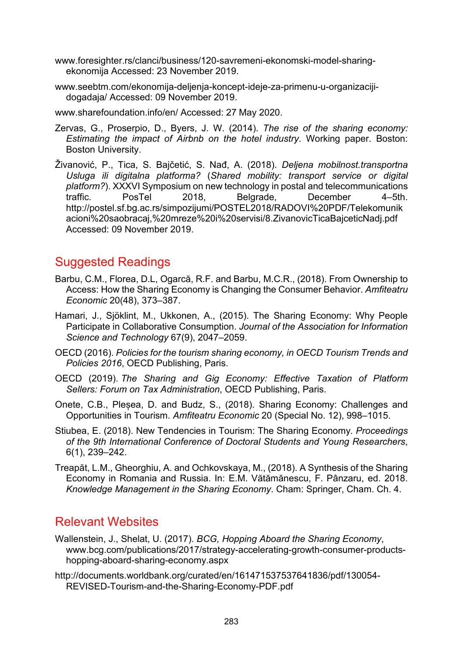- [www.foresighter.rs/clanci/business/120](https://www.foresighter.rs/clanci/business/120-savremeni-ekonomski-model-sharing-ekonomija)-savremeni-ekonomski-model-sharing[ekonomija](https://www.foresighter.rs/clanci/business/120-savremeni-ekonomski-model-sharing-ekonomija) Accessed: 23 November 2019.
- www.seebtm.com/ekonomi[ja-deljenja-koncept-ideje-za-primenu-u-organizaciji](https://www.seebtm.com/ekonomija-deljenja-koncept-ideje-za-primenu-u-organizaciji-dogadaja/)[dogadaja/](https://www.seebtm.com/ekonomija-deljenja-koncept-ideje-za-primenu-u-organizaciji-dogadaja/) Accessed: 09 November 2019.

www.sharefoundation.info/en/ Accessed: 27 May 2020.

- Zervas, G., Proserpio, D., Byers, J. W. (2014). *The rise of the sharing economy: Estimating the impact of Airbnb on the hotel industry*. Working paper. Boston: Boston University.
- Živanović, P., Tica, S. Bajčetić, S. Nađ, A. (2018). *Deljena mobilnost.transportna Usluga ili digitalna platforma?* (*Shared mobility: transport service or digital platform?*). XXXVI Symposium on new technology in postal and telecommunications traffic. PosTel 2018, Belgrade, December 4–5th. [http://postel.sf.bg.ac.rs/simpozijumi/POSTEL2018/RADOVI%20PDF/Telekomunik](http://postel.sf.bg.ac.rs/simpozijumi/POSTEL2018/RADOVI%20PDF/Telekomunikacioni%20saobracaj,%20mreze%20i%20servisi/8.ZivanovicTicaBajceticNadj.pdf) [acioni%20saobracaj,%20mreze%20i%20servisi/8.ZivanovicTicaBajceticNadj.pdf](http://postel.sf.bg.ac.rs/simpozijumi/POSTEL2018/RADOVI%20PDF/Telekomunikacioni%20saobracaj,%20mreze%20i%20servisi/8.ZivanovicTicaBajceticNadj.pdf) Accessed: 09 November 2019.

# Suggested Readings

- Barbu, C.M., Florea, D.L, Ogarcă, R.F. and Barbu, M.C.R., (2018). From Ownership to Access: How the Sharing Economy is Changing the Consumer Behavior. *Amfiteatru Economic* 20(48), 373–387.
- Hamari, J., Sjöklint, M., Ukkonen, A., (2015). The Sharing Economy: Why People Participate in Collaborative Consumption. *Journal of the Association for Information Science and Technology* 67(9), 2047–2059.
- OECD (2016). *Policies for the tourism sharing economy, in OECD Tourism Trends and Policies 2016*, OECD Publishing, Paris.
- OECD (2019). *The Sharing and Gig Economy: Effective Taxation of Platform Sellers: Forum on Tax Administration*, OECD Publishing, Paris.
- Onete, C.B., Pleșea, D. and Budz, S., (2018). Sharing Economy: Challenges and Opportunities in Tourism. *Amfiteatru Economic* 20 (Special No. 12), 998–1015.
- Stiubea, E. (2018). New Tendencies in Tourism: The Sharing Economy*. Proceedings of the 9th International Conference of Doctoral Students and Young Researchers*, 6(1), 239–242.
- Treapăt, L.M., Gheorghiu, A. and Ochkovskaya, M., (2018). A Synthesis of the Sharing Economy in Romania and Russia. In: E.M. Vătămănescu, F. Pânzaru, ed. 2018. *Knowledge Management in the Sharing Economy*. Cham: Springer, Cham. Ch. 4.

# Relevant Websites

- Wallenstein, J., Shelat, U. (2017). *BCG, Hopping Aboard the Sharing Economy*, www.bcg.com/publications/2017/strategy[-accelerating-growth-consumer-products](https://www.bcg.com/publications/2017/strategy-accelerating-growth-consumer-products-hopping-aboard-sharing-economy.aspx)hopping-aboard-sharing-[economy.aspx](https://www.bcg.com/publications/2017/strategy-accelerating-growth-consumer-products-hopping-aboard-sharing-economy.aspx)
- [http://documents.worldbank.org/curated/en/161471537537641836/pdf/130054](http://documents.worldbank.org/curated/en/161471537537641836/pdf/130054-REVISED-Tourism-and-the-Sharing-Economy-PDF.pdf) REVISED[-Tourism-and-the-Sharing-Economy-](http://documents.worldbank.org/curated/en/161471537537641836/pdf/130054-REVISED-Tourism-and-the-Sharing-Economy-PDF.pdf)PDF.pdf